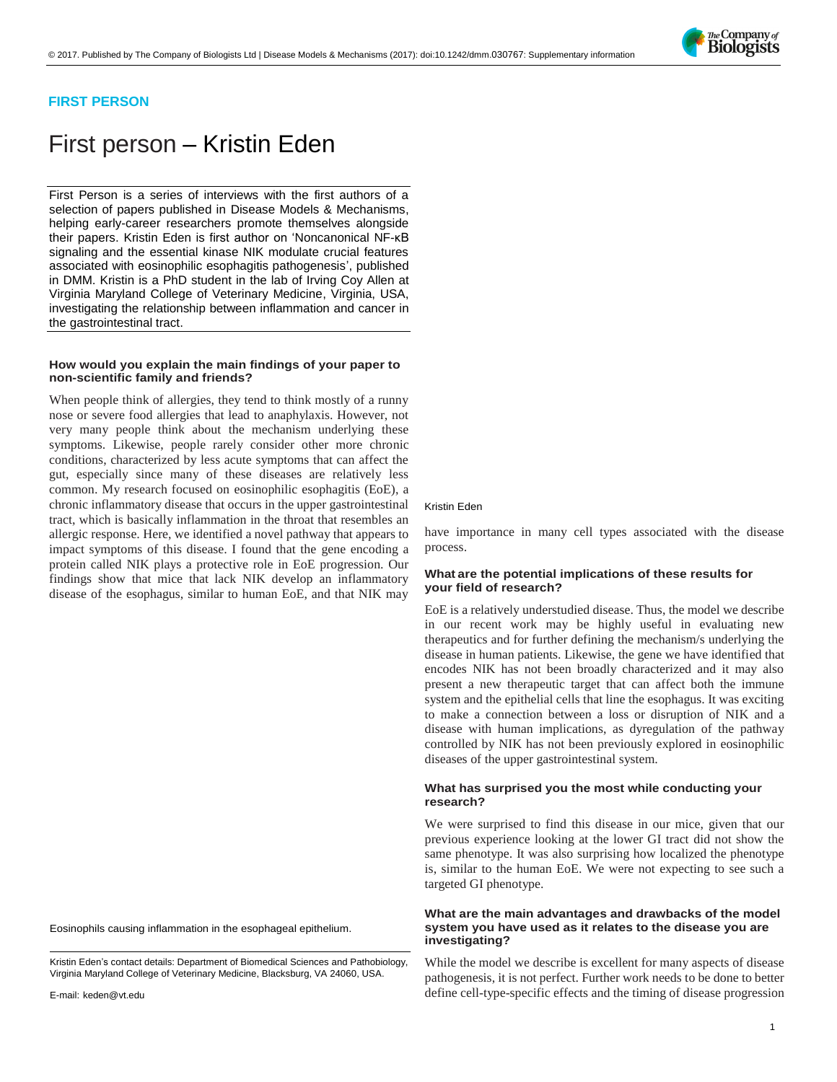

# **FIRST PERSON**

# First person – Kristin Eden

First Person is a series of interviews with the first authors of a selection of papers published in Disease Models & Mechanisms, helping early-career researchers promote themselves alongside their papers. Kristin Eden is first author on ['Noncanonical NF-κB](http://doi.org/10.1242/dmm.030767)  [signaling and the essential kinase NIK modulate crucial features](http://doi.org/10.1242/dmm.030767)  [associated with eosinophilic esophagitis pathogenesis'](http://doi.org/10.1242/dmm.030767), published in DMM. Kristin is a PhD student in the lab of Irving Coy Allen at Virginia Maryland College of Veterinary Medicine, Virginia, USA, investigating the relationship between inflammation and cancer in the gastrointestinal tract.

#### **How would you explain the main findings of your paper to non-scientific family and friends?**

When people think of allergies, they tend to think mostly of a runny nose or severe food allergies that lead to anaphylaxis. However, not very many people think about the mechanism underlying these symptoms. Likewise, people rarely consider other more chronic conditions, characterized by less acute symptoms that can affect the gut, especially since many of these diseases are relatively less common. My research focused on eosinophilic esophagitis (EoE), a chronic inflammatory disease that occurs in the upper gastrointestinal tract, which is basically inflammation in the throat that resembles an allergic response. Here, we identified a novel pathway that appears to impact symptoms of this disease. I found that the gene encoding a protein called NIK plays a protective role in EoE progression. Our findings show that mice that lack NIK develop an inflammatory disease of the esophagus, similar to human EoE, and that NIK may

Eosinophils causing inflammation in the esophageal epithelium.

Kristin Eden's contact details: Department of Biomedical Sciences and Pathobiology, Virginia Maryland College of Veterinary Medicine, Blacksburg, VA 24060, USA.

#### Kristin Eden

have importance in many cell types associated with the disease process.

# **What are the potential implications of these results for your field of research?**

EoE is a relatively understudied disease. Thus, the model we describe in our recent work may be highly useful in evaluating new therapeutics and for further defining the mechanism/s underlying the disease in human patients. Likewise, the gene we have identified that encodes NIK has not been broadly characterized and it may also present a new therapeutic target that can affect both the immune system and the epithelial cells that line the esophagus. It was exciting to make a connection between a loss or disruption of NIK and a disease with human implications, as dyregulation of the pathway controlled by NIK has not been previously explored in eosinophilic diseases of the upper gastrointestinal system.

## **What has surprised you the most while conducting your research?**

We were surprised to find this disease in our mice, given that our previous experience looking at the lower GI tract did not show the same phenotype. It was also surprising how localized the phenotype is, similar to the human EoE. We were not expecting to see such a targeted GI phenotype.

# **What are the main advantages and drawbacks of the model system you have used as it relates to the disease you are investigating?**

While the model we describe is excellent for many aspects of disease pathogenesis, it is not perfect. Further work needs to be done to better define cell-type-specific effects and the timing of disease progression